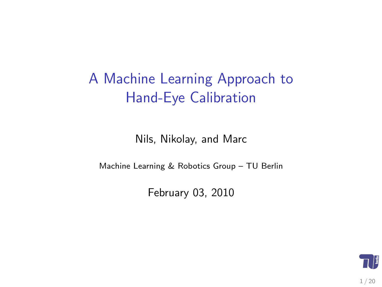## A Machine Learning Approach to Hand-Eye Calibration

Nils, Nikolay, and Marc

Machine Learning & Robotics Group – TU Berlin

February 03, 2010

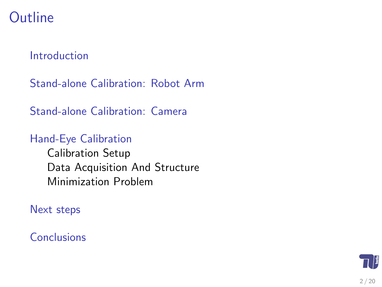#### **Outline**

#### [Introduction](#page-2-0)

[Stand-alone Calibration: Robot Arm](#page-4-0)

[Stand-alone Calibration: Camera](#page-5-0)

[Hand-Eye Calibration](#page-11-0) [Calibration Setup](#page-11-0) [Data Acquisition And Structure](#page-12-0) [Minimization Problem](#page-13-0)

[Next steps](#page-17-0)

**[Conclusions](#page-18-0)** 

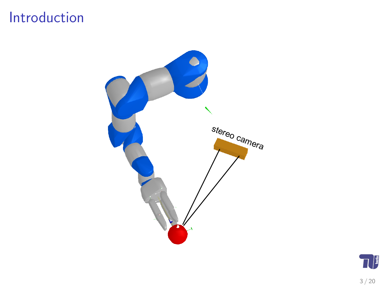#### Introduction





<span id="page-2-0"></span>3 / 20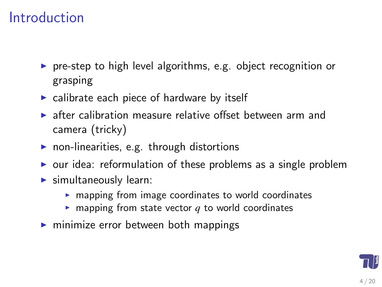#### Introduction

- $\triangleright$  pre-step to high level algorithms, e.g. object recognition or grasping
- $\triangleright$  calibrate each piece of hardware by itself
- $\triangleright$  after calibration measure relative offset between arm and camera (tricky)
- $\triangleright$  non-linearities, e.g. through distortions
- $\triangleright$  our idea: reformulation of these problems as a single problem
- $\blacktriangleright$  simultaneously learn:
	- $\triangleright$  mapping from image coordinates to world coordinates
	- $\triangleright$  mapping from state vector  $q$  to world coordinates
- $\triangleright$  minimize error between both mappings

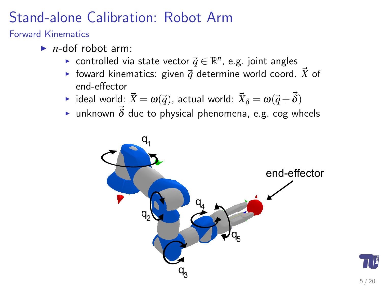### Stand-alone Calibration: Robot Arm

Forward Kinematics

- $\blacktriangleright$  *n*-dof robot arm:
	- ► controlled via state vector  $\vec{q} \in \mathbb{R}^n$ , e.g. joint angles
	- **F** foward kinematics: given  $\vec{q}$  determine world coord.  $\vec{X}$  of end-effector
	- $\blacktriangleright$  ideal world:  $\vec{X} = \omega(\vec{q})$ , actual world:  $\vec{X}_\delta = \omega(\vec{q}+\vec{\delta})$
	- **In unknown**  $\vec{\delta}$  **due to physical phenomena, e.g. cog wheels**

<span id="page-4-0"></span>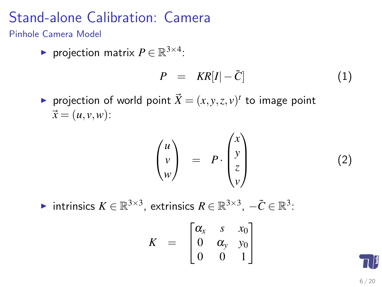Pinhole Camera Model

► projection matrix  $P \in \mathbb{R}^{3 \times 4}$ :

$$
P = KR[I] - \tilde{C} \tag{1}
$$

riangleright point  $\vec{X} = (x, y, z, v)^t$  to image point  $\vec{x} = (u, v, w)$ :

$$
\begin{pmatrix} u \\ v \\ w \end{pmatrix} = P \cdot \begin{pmatrix} x \\ y \\ z \\ v \end{pmatrix}
$$
 (2)

► intrinsics  $K \in \mathbb{R}^{3 \times 3}$ , extrinsics  $R \in \mathbb{R}^{3 \times 3}$ ,  $-\tilde{C} \in \mathbb{R}^{3}$ :

<span id="page-5-0"></span>
$$
K = \begin{bmatrix} \alpha_x & s & x_0 \\ 0 & \alpha_y & y_0 \\ 0 & 0 & 1 \end{bmatrix}
$$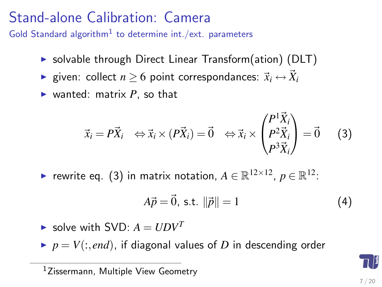Gold Standard algorithm $<sup>1</sup>$  to determine int./ext. parameters</sup>

- $\triangleright$  solvable through Direct Linear Transform(ation) (DLT)
- ▶ given: collect  $n \ge 6$  point correspondances:  $\vec{x}_i \leftrightarrow \vec{X}_i$
- $\blacktriangleright$  wanted: matrix *P*, so that

$$
\vec{x}_i = P\vec{X}_i \iff \vec{x}_i \times (P\vec{X}_i) = \vec{0} \iff \vec{x}_i \times \begin{pmatrix} P^1 \vec{X}_i \\ P^2 \vec{X}_i \\ P^3 \vec{X}_i \end{pmatrix} = \vec{0} \quad (3)
$$

► rewrite eq. [\(3\)](#page-6-0) in matrix notation,  $A \in \mathbb{R}^{12 \times 12}$ ,  $p \in \mathbb{R}^{12}$ :

<span id="page-6-0"></span>
$$
A\vec{p} = \vec{0}, \text{ s.t. } ||\vec{p}|| = 1 \tag{4}
$$

- $\blacktriangleright$  solve with SVD:  $A = I/DV^T$
- $\blacktriangleright$   $p = V(:,end)$ , if diagonal values of *D* in descending order

<sup>&</sup>lt;sup>1</sup>Zissermann, Multiple View Geometry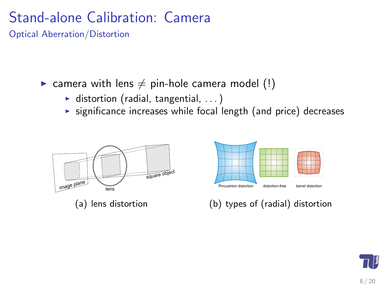Optical Aberration/Distortion

- **E** camera with lens  $\neq$  pin-hole camera model (!)
	- $\blacktriangleright$  distortion (radial, tangential, ...)
	- $\triangleright$  significance increases while focal length (and price) decreases



(a) lens distortion



(b) types of (radial) distortion

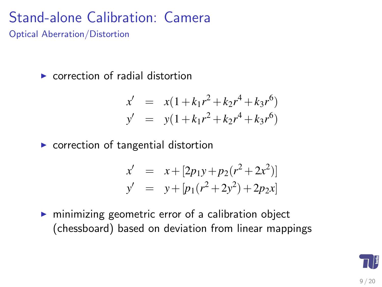Optical Aberration/Distortion

 $\blacktriangleright$  correction of radial distortion

$$
x' = x(1 + k_1r^2 + k_2r^4 + k_3r^6)
$$
  
\n
$$
y' = y(1 + k_1r^2 + k_2r^4 + k_3r^6)
$$

 $\triangleright$  correction of tangential distortion

$$
x' = x + [2p_1y + p_2(r^2 + 2x^2)]
$$
  
\n
$$
y' = y + [p_1(r^2 + 2y^2) + 2p_2x]
$$

 $\triangleright$  minimizing geometric error of a calibration object (chessboard) based on deviation from linear mappings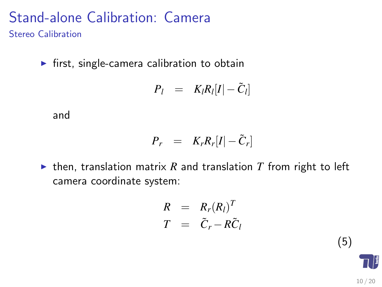Stereo Calibration

 $\blacktriangleright$  first, single-camera calibration to obtain

$$
P_l = K_l R_l[I] - \tilde{C}_l]
$$

and

$$
P_r = K_r R_r[I] - \tilde{C}_r]
$$

 $\triangleright$  then, translation matrix *R* and translation *T* from right to left camera coordinate system:

$$
R = R_r(R_l)^T
$$
  

$$
T = \tilde{C}_r - R\tilde{C}_l
$$

(5)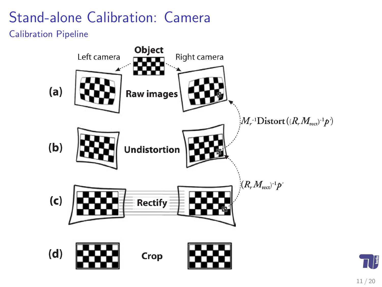Calibration Pipeline



 $\Box$  )  $\frac{2}{3}$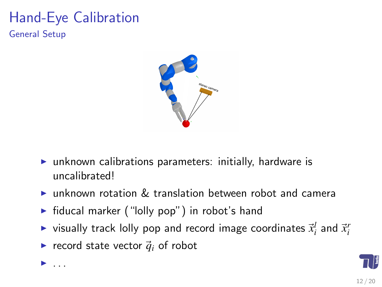General Setup

 $\blacktriangleright$  . . .



- $\triangleright$  unknown calibrations parameters: initially, hardware is uncalibrated!
- $\triangleright$  unknown rotation  $\&$  translation between robot and camera
- $\triangleright$  fiducal marker ("lolly pop") in robot's hand
- $\blacktriangleright$  visually track lolly pop and record image coordinates  $\vec{x}_i^l$  and  $\vec{x}_i^r$
- record state vector  $\vec{q}_i$  of robot

<span id="page-11-0"></span>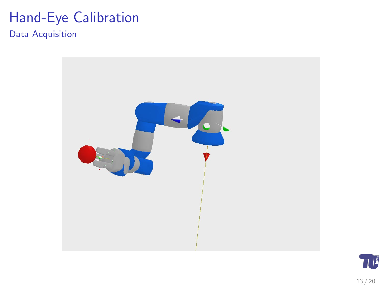Data Acquisition



<span id="page-12-0"></span>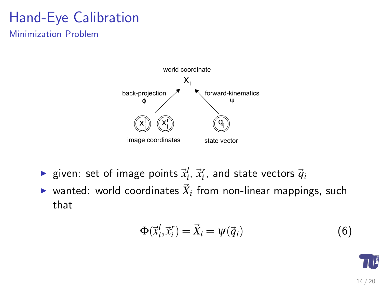Minimization Problem



- $\blacktriangleright$  given: set of image points  $\vec{x}_i^l$ ,  $\vec{x}_i^r$ , and state vectors  $\vec{q}_i$
- ightharpoonup wanted: world coordinates  $\vec{X}_i$  from non-linear mappings, such that

<span id="page-13-0"></span>
$$
\Phi(\vec{x}_i^l, \vec{x}_i^r) = \vec{X}_i = \psi(\vec{q}_i)
$$
\n(6)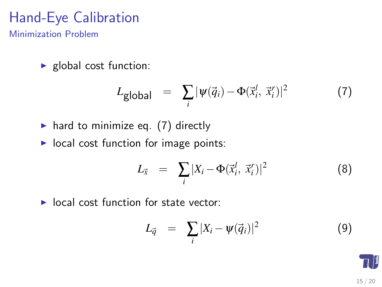Minimization Problem

 $\blacktriangleright$  global cost function:

$$
L_{\text{global}} = \sum_{i} |\psi(\vec{q}_i) - \Phi(\vec{x}_i^l, \vec{x}_i^r)|^2 \tag{7}
$$

- $\triangleright$  hard to minimize eq. [\(7\)](#page-14-0) directly
- $\blacktriangleright$  local cost function for image points:

<span id="page-14-1"></span><span id="page-14-0"></span>
$$
L_{\vec{x}} = \sum_{i} |X_i - \Phi(\vec{x}_i^l, \vec{x}_i^r)|^2 \tag{8}
$$

 $\blacktriangleright$  local cost function for state vector:

$$
L_{\vec{q}} = \sum_{i} |X_i - \psi(\vec{q}_i)|^2 \qquad (9)
$$

<span id="page-14-2"></span>15 / 20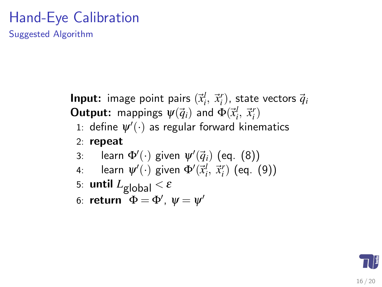Suggested Algorithm

 ${\sf Input:}$  image point pairs  $(\vec{x}_i^l, \vec{x}_i^r)$ , state vectors  $\vec{q}_i$ **Output:** mappings  $\psi(\vec{q}_i)$  and  $\Phi(\vec{x}_i^l, \vec{x}_i^r)$ 

- 1: define  $\pmb{\psi}'(\cdot)$  as regular forward kinematics
- 2: repeat
- 3: learn  $\Phi'(\cdot)$  given  $\psi'(\vec q_i)$  (eq. [\(8\)](#page-14-1))
- 4: learn  $\psi'(\cdot)$  given  $\Phi'(\vec{x}_i^l, \vec{x}_i^r)$  (eq. [\(9\)](#page-14-2))

5: until 
$$
L_{\text{global}} < \varepsilon
$$

6: return  $\phi = \Phi'$ ,  $\psi = \psi'$ 

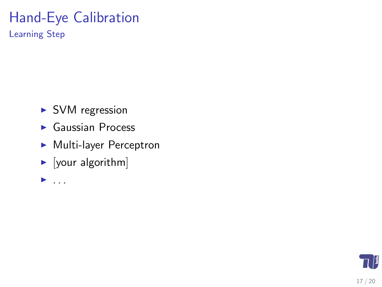Learning Step

- $\triangleright$  SVM regression
- $\blacktriangleright$  Gaussian Process
- Multi-layer Perceptron
- $\blacktriangleright$  [your algorithm]
- $\blacktriangleright$  ...

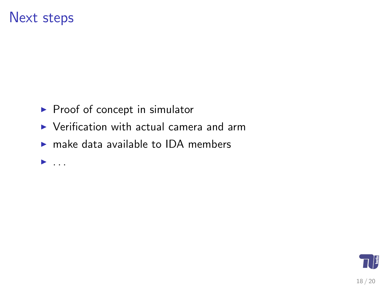#### Next steps

- $\blacktriangleright$  Proof of concept in simulator
- $\triangleright$  Verification with actual camera and arm
- $\triangleright$  make data available to IDA members

 $\blacktriangleright$  ...

<span id="page-17-0"></span>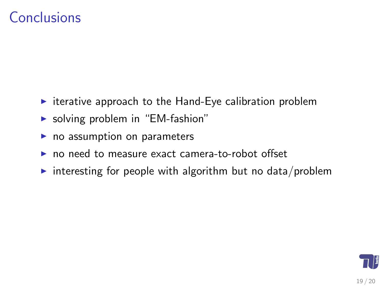#### **Conclusions**

- $\triangleright$  iterative approach to the Hand-Eye calibration problem
- $\triangleright$  solving problem in "EM-fashion"
- $\blacktriangleright$  no assumption on parameters
- $\triangleright$  no need to measure exact camera-to-robot offset
- <span id="page-18-0"></span>interesting for people with algorithm but no data/problem